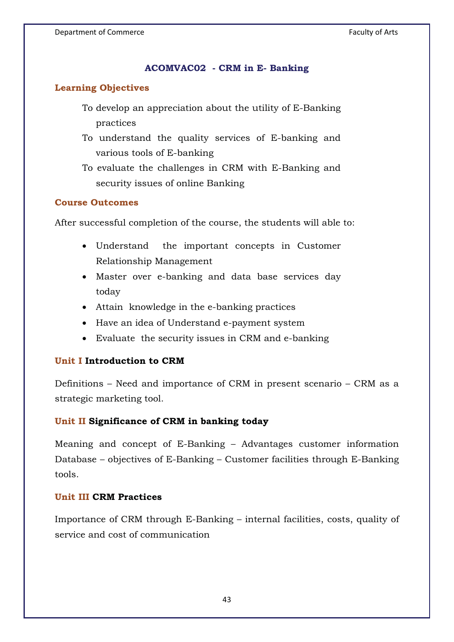# **ACOMVAC02 - CRM in E- Banking**

# **Learning Objectives**

- To develop an appreciation about the utility of E-Banking practices
- To understand the quality services of E-banking and various tools of E-banking
- To evaluate the challenges in CRM with E-Banking and security issues of online Banking

### **Course Outcomes**

After successful completion of the course, the students will able to:

- Understand the important concepts in Customer Relationship Management
- Master over e-banking and data base services day today
- Attain knowledge in the e-banking practices
- Have an idea of Understand e-payment system
- Evaluate the security issues in CRM and e-banking

#### **Unit I Introduction to CRM**

Definitions – Need and importance of CRM in present scenario – CRM as a strategic marketing tool.

# **Unit II Significance of CRM in banking today**

Meaning and concept of E-Banking – Advantages customer information Database – objectives of E-Banking – Customer facilities through E-Banking tools.

#### **Unit III CRM Practices**

Importance of CRM through E-Banking – internal facilities, costs, quality of service and cost of communication